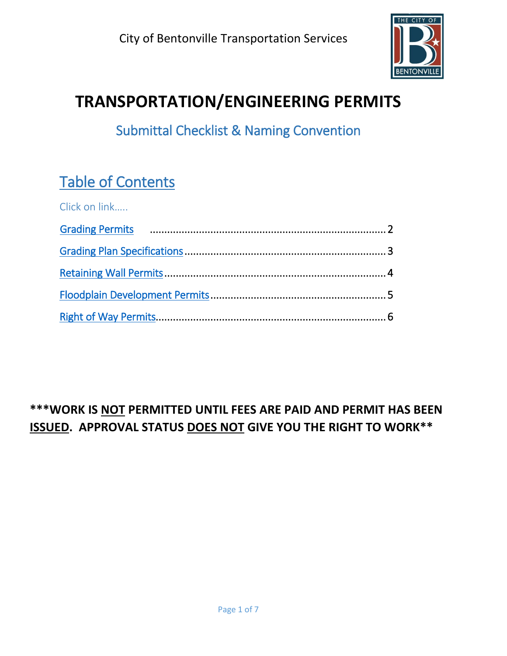

# **TRANSPORTATION/ENGINEERING PERMITS**

Submittal Checklist & Naming Convention

# Table of Contents

| Click on link |  |
|---------------|--|
|               |  |
|               |  |
|               |  |
|               |  |
|               |  |

## **\*\*\*WORK IS NOT PERMITTED UNTIL FEES ARE PAID AND PERMIT HAS BEEN ISSUED. APPROVAL STATUS DOES NOT GIVE YOU THE RIGHT TO WORK\*\***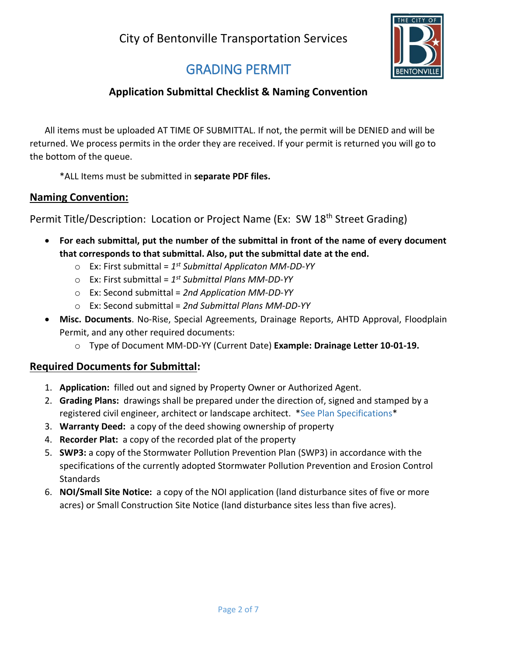

## GRADING PERMIT

### **Application Submittal Checklist & Naming Convention**

<span id="page-1-0"></span>All items must be uploaded AT TIME OF SUBMITTAL. If not, the permit will be DENIED and will be returned. We process permits in the order they are received. If your permit is returned you will go to the bottom of the queue.

\*ALL Items must be submitted in **separate PDF files.**

### **Naming Convention:**

Permit Title/Description: Location or Project Name (Ex: SW 18<sup>th</sup> Street Grading)

- **For each submittal, put the number of the submittal in front of the name of every document that corresponds to that submittal. Also, put the submittal date at the end.** 
	- o Ex: First submittal = *1 st Submittal Applicaton MM-DD-YY*
	- o Ex: First submittal = *1 st Submittal Plans MM-DD-YY*
	- o Ex: Second submittal = *2nd Application MM-DD-YY*
	- o Ex: Second submittal = *2nd Submittal Plans MM-DD-YY*
- **Misc. Documents**. No-Rise, Special Agreements, Drainage Reports, AHTD Approval, Floodplain Permit, and any other required documents:
	- o Type of Document MM-DD-YY (Current Date) **Example: Drainage Letter 10-01-19.**

### **Required Documents for Submittal:**

- 1. **Application:** filled out and signed by Property Owner or Authorized Agent.
- 2. **Grading Plans:** drawings shall be prepared under the direction of, signed and stamped by a registered civil engineer, architect or landscape architect. \*See Plan Specifications\*
- 3. **Warranty Deed:** a copy of the deed showing ownership of property
- 4. **Recorder Plat:** a copy of the recorded plat of the property
- 5. **SWP3:** a copy of the Stormwater Pollution Prevention Plan (SWP3) in accordance with the specifications of the currently adopted Stormwater Pollution Prevention and Erosion Control **Standards**
- 6. **NOI/Small Site Notice:** a copy of the NOI application (land disturbance sites of five or more acres) or Small Construction Site Notice (land disturbance sites less than five acres).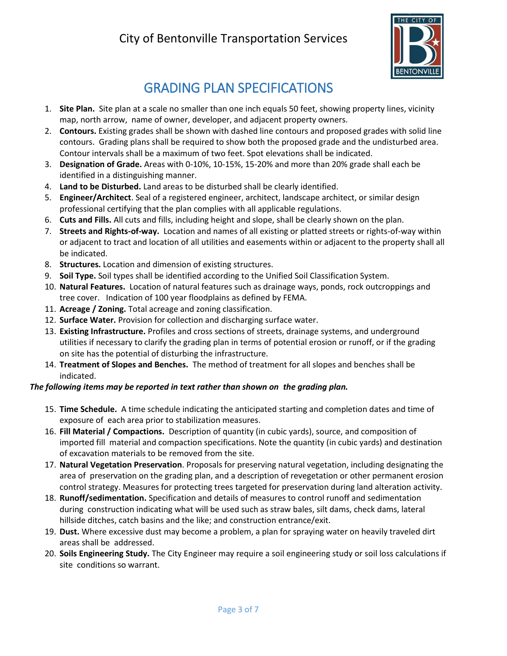## City of Bentonville Transportation Services



## GRADING PLAN SPECIFICATIONS

- 1. **Site Plan.** Site plan at a scale no smaller than one inch equals 50 feet, showing property lines, vicinity map, north arrow, name of owner, developer, and adjacent property owners.
- 2. **Contours.** Existing grades shall be shown with dashed line contours and proposed grades with solid line contours. Grading plans shall be required to show both the proposed grade and the undisturbed area. Contour intervals shall be a maximum of two feet. Spot elevations shall be indicated.
- 3. **Designation of Grade.** Areas with 0-10%, 10-15%, 15-20% and more than 20% grade shall each be identified in a distinguishing manner.
- 4. **Land to be Disturbed.** Land areas to be disturbed shall be clearly identified.
- 5. **Engineer/Architect**. Seal of a registered engineer, architect, landscape architect, or similar design professional certifying that the plan complies with all applicable regulations.
- 6. **Cuts and Fills.** All cuts and fills, including height and slope, shall be clearly shown on the plan.
- 7. **Streets and Rights-of-way.** Location and names of all existing or platted streets or rights-of-way within or adjacent to tract and location of all utilities and easements within or adjacent to the property shall all be indicated.
- 8. **Structures.** Location and dimension of existing structures.
- 9. **Soil Type.** Soil types shall be identified according to the Unified Soil Classification System.
- 10. **Natural Features.** Location of natural features such as drainage ways, ponds, rock outcroppings and tree cover. Indication of 100 year floodplains as defined by FEMA.
- 11. **Acreage / Zoning.** Total acreage and zoning classification.
- 12. **Surface Water.** Provision for collection and discharging surface water.
- 13. **Existing Infrastructure.** Profiles and cross sections of streets, drainage systems, and underground utilities if necessary to clarify the grading plan in terms of potential erosion or runoff, or if the grading on site has the potential of disturbing the infrastructure.
- 14. **Treatment of Slopes and Benches.** The method of treatment for all slopes and benches shall be indicated.

#### *The following items may be reported in text rather than shown on the grading plan.*

- 15. **Time Schedule.** A time schedule indicating the anticipated starting and completion dates and time of exposure of each area prior to stabilization measures.
- 16. **Fill Material / Compactions.** Description of quantity (in cubic yards), source, and composition of imported fill material and compaction specifications. Note the quantity (in cubic yards) and destination of excavation materials to be removed from the site.
- 17. **Natural Vegetation Preservation**. Proposals for preserving natural vegetation, including designating the area of preservation on the grading plan, and a description of revegetation or other permanent erosion control strategy. Measures for protecting trees targeted for preservation during land alteration activity.
- 18. **Runoff/sedimentation.** Specification and details of measures to control runoff and sedimentation during construction indicating what will be used such as straw bales, silt dams, check dams, lateral hillside ditches, catch basins and the like; and construction entrance/exit.
- 19. **Dust.** Where excessive dust may become a problem, a plan for spraying water on heavily traveled dirt areas shall be addressed.
- 20. **Soils Engineering Study.** The City Engineer may require a soil engineering study or soil loss calculations if site conditions so warrant.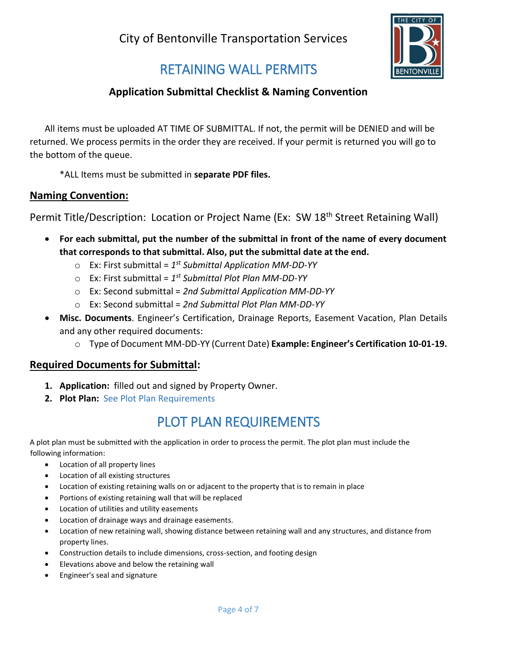

## RETAINING WALL PERMITS

### **Application Submittal Checklist & Naming Convention**

All items must be uploaded AT TIME OF SUBMITTAL. If not, the permit will be DENIED and will be returned. We process permits in the order they are received. If your permit is returned you will go to the bottom of the queue.

\*ALL Items must be submitted in **separate PDF files.**

#### **Naming Convention:**

Permit Title/Description: Location or Project Name (Ex: SW 18<sup>th</sup> Street Retaining Wall)

- **For each submittal, put the number of the submittal in front of the name of every document that corresponds to that submittal. Also, put the submittal date at the end.** 
	- o Ex: First submittal = *1 st Submittal Application MM-DD-YY*
	- o Ex: First submittal = *1 st Submittal Plot Plan MM-DD-YY*
	- o Ex: Second submittal = *2nd Submittal Application MM-DD-YY*
	- o Ex: Second submittal = *2nd Submittal Plot Plan MM-DD-YY*
- **Misc. Documents**. Engineer's Certification, Drainage Reports, Easement Vacation, Plan Details and any other required documents:
	- o Type of Document MM-DD-YY (Current Date) **Example: Engineer's Certification 10-01-19.**

#### **Required Documents for Submittal:**

- **1. Application:** filled out and signed by Property Owner.
- **2. Plot Plan:** See Plot Plan Requirements

## PLOT PLAN REQUIREMENTS

A plot plan must be submitted with the application in order to process the permit. The plot plan must include the following information:

- Location of all property lines
- Location of all existing structures
- Location of existing retaining walls on or adjacent to the property that is to remain in place
- Portions of existing retaining wall that will be replaced
- Location of utilities and utility easements
- Location of drainage ways and drainage easements.
- Location of new retaining wall, showing distance between retaining wall and any structures, and distance from property lines.
- Construction details to include dimensions, cross-section, and footing design
- Elevations above and below the retaining wall
- Engineer's seal and signature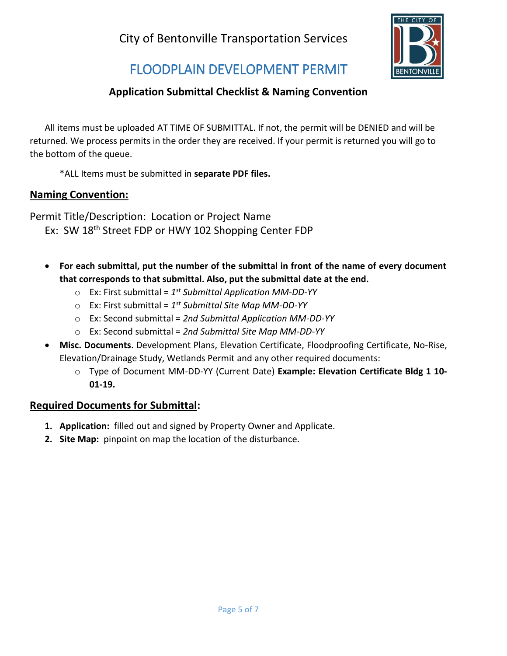

## FLOODPLAIN DEVELOPMENT PERMIT

## **Application Submittal Checklist & Naming Convention**

All items must be uploaded AT TIME OF SUBMITTAL. If not, the permit will be DENIED and will be returned. We process permits in the order they are received. If your permit is returned you will go to the bottom of the queue.

\*ALL Items must be submitted in **separate PDF files.**

### **Naming Convention:**

Permit Title/Description: Location or Project Name Ex: SW 18<sup>th</sup> Street FDP or HWY 102 Shopping Center FDP

- **For each submittal, put the number of the submittal in front of the name of every document that corresponds to that submittal. Also, put the submittal date at the end.** 
	- o Ex: First submittal = *1 st Submittal Application MM-DD-YY*
	- o Ex: First submittal = *1 st Submittal Site Map MM-DD-YY*
	- o Ex: Second submittal = *2nd Submittal Application MM-DD-YY*
	- o Ex: Second submittal = *2nd Submittal Site Map MM-DD-YY*
- **Misc. Documents**. Development Plans, Elevation Certificate, Floodproofing Certificate, No-Rise, Elevation/Drainage Study, Wetlands Permit and any other required documents:
	- o Type of Document MM-DD-YY (Current Date) **Example: Elevation Certificate Bldg 1 10- 01-19.**

### **Required Documents for Submittal:**

- **1. Application:** filled out and signed by Property Owner and Applicate.
- **2. Site Map:** pinpoint on map the location of the disturbance.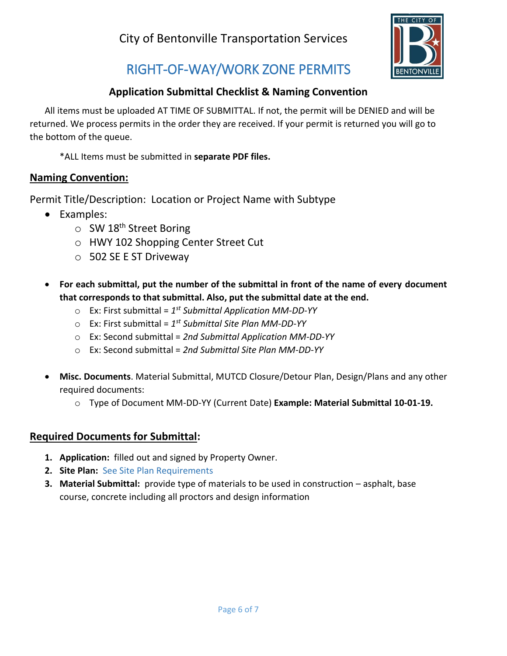

## RIGHT-OF-WAY/WORK ZONE PERMITS

## **Application Submittal Checklist & Naming Convention**

All items must be uploaded AT TIME OF SUBMITTAL. If not, the permit will be DENIED and will be returned. We process permits in the order they are received. If your permit is returned you will go to the bottom of the queue.

\*ALL Items must be submitted in **separate PDF files.**

### **Naming Convention:**

Permit Title/Description: Location or Project Name with Subtype

- Examples:
	- $\circ$  SW 18<sup>th</sup> Street Boring
	- o HWY 102 Shopping Center Street Cut
	- o 502 SE E ST Driveway
- **For each submittal, put the number of the submittal in front of the name of every document that corresponds to that submittal. Also, put the submittal date at the end.** 
	- o Ex: First submittal = *1 st Submittal Application MM-DD-YY*
	- o Ex: First submittal = *1 st Submittal Site Plan MM-DD-YY*
	- o Ex: Second submittal = *2nd Submittal Application MM-DD-YY*
	- o Ex: Second submittal = *2nd Submittal Site Plan MM-DD-YY*
- **Misc. Documents**. Material Submittal, MUTCD Closure/Detour Plan, Design/Plans and any other required documents:
	- o Type of Document MM-DD-YY (Current Date) **Example: Material Submittal 10-01-19.**

### **Required Documents for Submittal:**

- **1. Application:** filled out and signed by Property Owner.
- **2. Site Plan:** See Site Plan Requirements
- **3. Material Submittal:** provide type of materials to be used in construction asphalt, base course, concrete including all proctors and design information